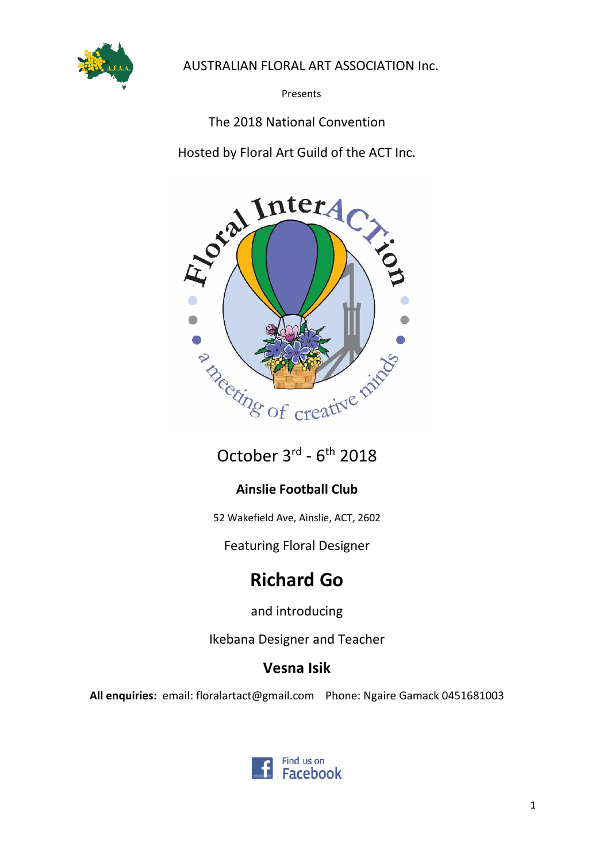

# AUSTRALIAN FLORAL ART ASSOCIATION Inc.

Presents

# The 2018 National Convention

Hosted by Floral Art Guild of the ACT Inc.



October 3rd - 6<sup>th</sup> 2018

# **Ainslie Football Club**

52 Wakefield Ave, Ainslie, ACT, 2602

Featuring Floral Designer

# **Richard Go**

and introducing

Ikebana Designer and Teacher

# **Vesna Isik**

**All enquiries:** email: floralartact@gmail.com Phone: Ngaire Gamack 0451681003

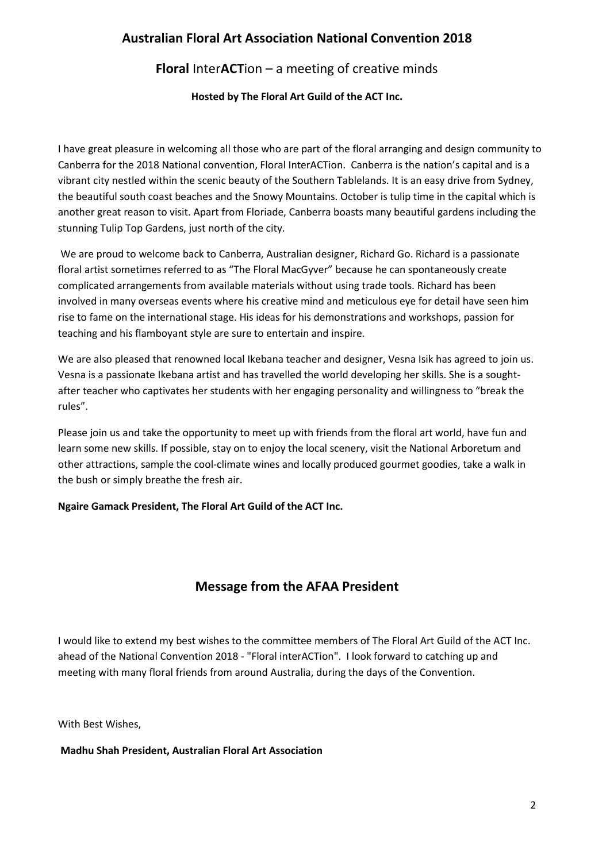# **Australian Floral Art Association National Convention 2018**

# **Floral** Inter**ACT**ion – a meeting of creative minds

**Hosted by The Floral Art Guild of the ACT Inc.**

I have great pleasure in welcoming all those who are part of the floral arranging and design community to Canberra for the 2018 National convention, Floral InterACTion. Canberra is the nation's capital and is a vibrant city nestled within the scenic beauty of the Southern Tablelands. It is an easy drive from Sydney, the beautiful south coast beaches and the Snowy Mountains. October is tulip time in the capital which is another great reason to visit. Apart from Floriade, Canberra boasts many beautiful gardens including the stunning Tulip Top Gardens, just north of the city.

We are proud to welcome back to Canberra, Australian designer, Richard Go. Richard is a passionate floral artist sometimes referred to as "The Floral MacGyver" because he can spontaneously create complicated arrangements from available materials without using trade tools. Richard has been involved in many overseas events where his creative mind and meticulous eye for detail have seen him rise to fame on the international stage. His ideas for his demonstrations and workshops, passion for teaching and his flamboyant style are sure to entertain and inspire.

We are also pleased that renowned local Ikebana teacher and designer, Vesna Isik has agreed to join us. Vesna is a passionate Ikebana artist and has travelled the world developing her skills. She is a soughtafter teacher who captivates her students with her engaging personality and willingness to "break the rules".

Please join us and take the opportunity to meet up with friends from the floral art world, have fun and learn some new skills. If possible, stay on to enjoy the local scenery, visit the National Arboretum and other attractions, sample the cool-climate wines and locally produced gourmet goodies, take a walk in the bush or simply breathe the fresh air.

**Ngaire Gamack President, The Floral Art Guild of the ACT Inc.**

# **Message from the AFAA President**

I would like to extend my best wishes to the committee members of The Floral Art Guild of the ACT Inc. ahead of the National Convention 2018 - "Floral interACTion". I look forward to catching up and meeting with many floral friends from around Australia, during the days of the Convention.

With Best Wishes,

**Madhu Shah President, Australian Floral Art Association**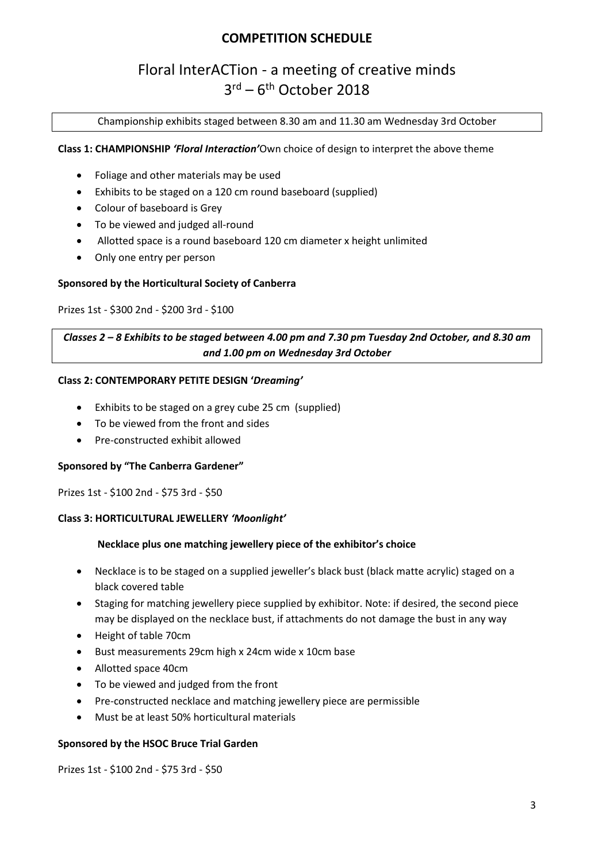# **COMPETITION SCHEDULE**

# Floral InterACTion - a meeting of creative minds 3<sup>rd</sup> – 6<sup>th</sup> October 2018

Championship exhibits staged between 8.30 am and 11.30 am Wednesday 3rd October

#### **Class 1: CHAMPIONSHIP** *'Floral Interaction'*Own choice of design to interpret the above theme

- Foliage and other materials may be used
- Exhibits to be staged on a 120 cm round baseboard (supplied)
- Colour of baseboard is Grey
- To be viewed and judged all-round
- Allotted space is a round baseboard 120 cm diameter x height unlimited
- Only one entry per person

#### **Sponsored by the Horticultural Society of Canberra**

#### Prizes 1st - \$300 2nd - \$200 3rd - \$100

### *Classes 2 – 8 Exhibits to be staged between 4.00 pm and 7.30 pm Tuesday 2nd October, and 8.30 am and 1.00 pm on Wednesday 3rd October*

#### **Class 2: CONTEMPORARY PETITE DESIGN '***Dreaming'*

- Exhibits to be staged on a grey cube 25 cm (supplied)
- To be viewed from the front and sides
- Pre-constructed exhibit allowed

#### **Sponsored by "The Canberra Gardener"**

Prizes 1st - \$100 2nd - \$75 3rd - \$50

#### **Class 3: HORTICULTURAL JEWELLERY** *'Moonlight'*

#### **Necklace plus one matching jewellery piece of the exhibitor's choice**

- Necklace is to be staged on a supplied jeweller's black bust (black matte acrylic) staged on a black covered table
- Staging for matching jewellery piece supplied by exhibitor. Note: if desired, the second piece may be displayed on the necklace bust, if attachments do not damage the bust in any way
- Height of table 70cm
- Bust measurements 29cm high x 24cm wide x 10cm base
- Allotted space 40cm
- To be viewed and judged from the front
- Pre-constructed necklace and matching jewellery piece are permissible
- Must be at least 50% horticultural materials

#### **Sponsored by the HSOC Bruce Trial Garden**

Prizes 1st - \$100 2nd - \$75 3rd - \$50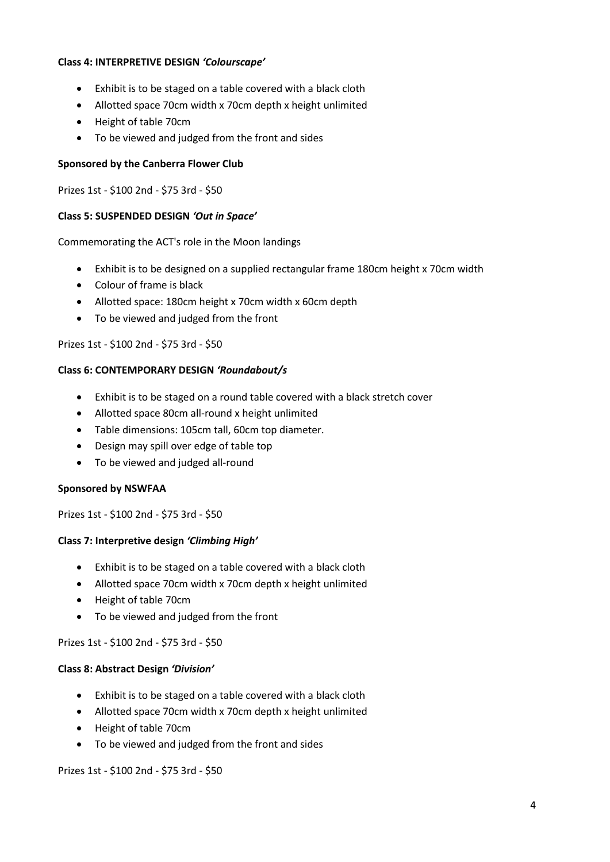#### **Class 4: INTERPRETIVE DESIGN** *'Colourscape'*

- Exhibit is to be staged on a table covered with a black cloth
- Allotted space 70cm width x 70cm depth x height unlimited
- Height of table 70cm
- To be viewed and judged from the front and sides

#### **Sponsored by the Canberra Flower Club**

Prizes 1st - \$100 2nd - \$75 3rd - \$50

#### **Class 5: SUSPENDED DESIGN** *'Out in Space'*

Commemorating the ACT's role in the Moon landings

- Exhibit is to be designed on a supplied rectangular frame 180cm height x 70cm width
- Colour of frame is black
- Allotted space: 180cm height x 70cm width x 60cm depth
- To be viewed and judged from the front

### Prizes 1st - \$100 2nd - \$75 3rd - \$50

#### **Class 6: CONTEMPORARY DESIGN** *'Roundabout/s*

- Exhibit is to be staged on a round table covered with a black stretch cover
- Allotted space 80cm all-round x height unlimited
- Table dimensions: 105cm tall, 60cm top diameter.
- Design may spill over edge of table top
- To be viewed and judged all-round

#### **Sponsored by NSWFAA**

Prizes 1st - \$100 2nd - \$75 3rd - \$50

#### **Class 7: Interpretive design** *'Climbing High'*

- Exhibit is to be staged on a table covered with a black cloth
- Allotted space 70cm width x 70cm depth x height unlimited
- Height of table 70cm
- To be viewed and judged from the front

#### Prizes 1st - \$100 2nd - \$75 3rd - \$50

#### **Class 8: Abstract Design** *'Division'*

- Exhibit is to be staged on a table covered with a black cloth
- Allotted space 70cm width x 70cm depth x height unlimited
- Height of table 70cm
- To be viewed and judged from the front and sides

Prizes 1st - \$100 2nd - \$75 3rd - \$50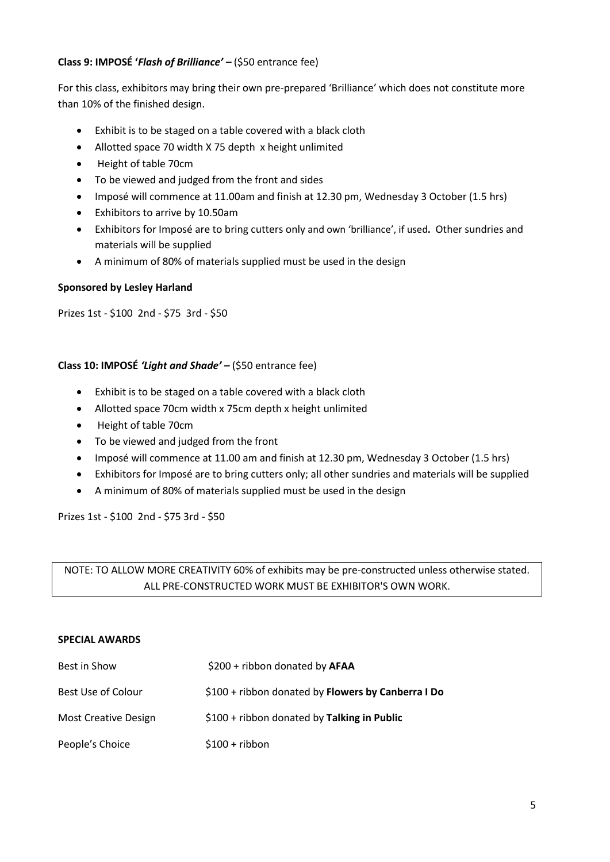#### **Class 9: IMPOSÉ '***Flash of Brilliance' –* (\$50 entrance fee)

For this class, exhibitors may bring their own pre-prepared 'Brilliance' which does not constitute more than 10% of the finished design.

- Exhibit is to be staged on a table covered with a black cloth
- Allotted space 70 width X 75 depth x height unlimited
- Height of table 70cm
- To be viewed and judged from the front and sides
- Imposé will commence at 11.00am and finish at 12.30 pm, Wednesday 3 October (1.5 hrs)
- Exhibitors to arrive by 10.50am
- Exhibitors for Imposé are to bring cutters only and own 'brilliance', if used**.** Other sundries and materials will be supplied
- A minimum of 80% of materials supplied must be used in the design

#### **Sponsored by Lesley Harland**

Prizes 1st - \$100 2nd - \$75 3rd - \$50

#### **Class 10: IMPOSÉ** *'Light and Shade' –* (\$50 entrance fee)

- Exhibit is to be staged on a table covered with a black cloth
- Allotted space 70cm width x 75cm depth x height unlimited
- Height of table 70cm
- To be viewed and judged from the front
- Imposé will commence at 11.00 am and finish at 12.30 pm, Wednesday 3 October (1.5 hrs)
- Exhibitors for Imposé are to bring cutters only; all other sundries and materials will be supplied
- A minimum of 80% of materials supplied must be used in the design

Prizes 1st - \$100 2nd - \$75 3rd - \$50

NOTE: TO ALLOW MORE CREATIVITY 60% of exhibits may be pre-constructed unless otherwise stated. ALL PRE-CONSTRUCTED WORK MUST BE EXHIBITOR'S OWN WORK.

#### **SPECIAL AWARDS**

| Best in Show                | \$200 + ribbon donated by AFAA                     |
|-----------------------------|----------------------------------------------------|
| Best Use of Colour          | \$100 + ribbon donated by Flowers by Canberra I Do |
| <b>Most Creative Design</b> | $$100 + ribbon$ donated by Talking in Public       |
| People's Choice             | $$100 + ribbon$                                    |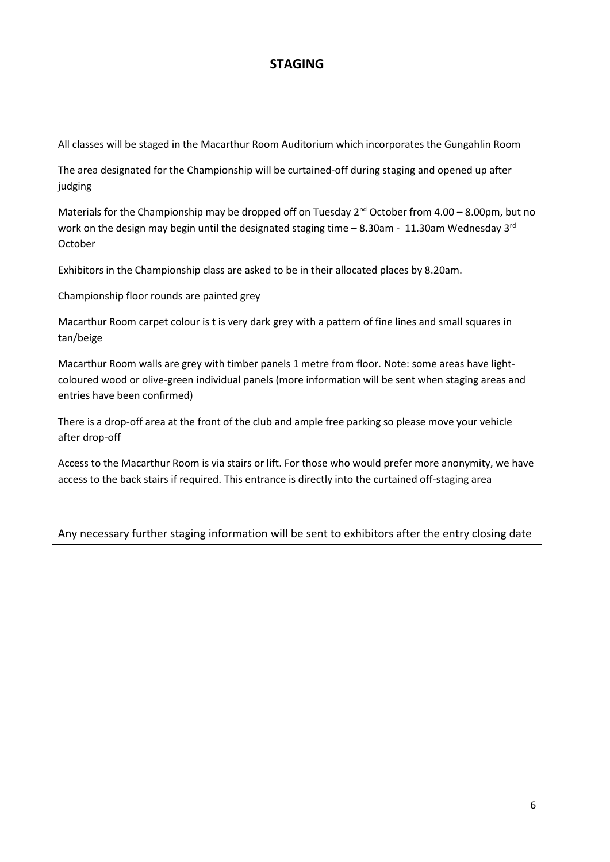# **STAGING**

All classes will be staged in the Macarthur Room Auditorium which incorporates the Gungahlin Room

The area designated for the Championship will be curtained-off during staging and opened up after judging

Materials for the Championship may be dropped off on Tuesday  $2^{nd}$  October from 4.00 – 8.00pm, but no work on the design may begin until the designated staging time  $-$  8.30am - 11.30am Wednesday 3<sup>rd</sup> October

Exhibitors in the Championship class are asked to be in their allocated places by 8.20am.

Championship floor rounds are painted grey

Macarthur Room carpet colour is t is very dark grey with a pattern of fine lines and small squares in tan/beige

Macarthur Room walls are grey with timber panels 1 metre from floor. Note: some areas have lightcoloured wood or olive-green individual panels (more information will be sent when staging areas and entries have been confirmed)

There is a drop-off area at the front of the club and ample free parking so please move your vehicle after drop-off

Access to the Macarthur Room is via stairs or lift. For those who would prefer more anonymity, we have access to the back stairs if required. This entrance is directly into the curtained off-staging area

Any necessary further staging information will be sent to exhibitors after the entry closing date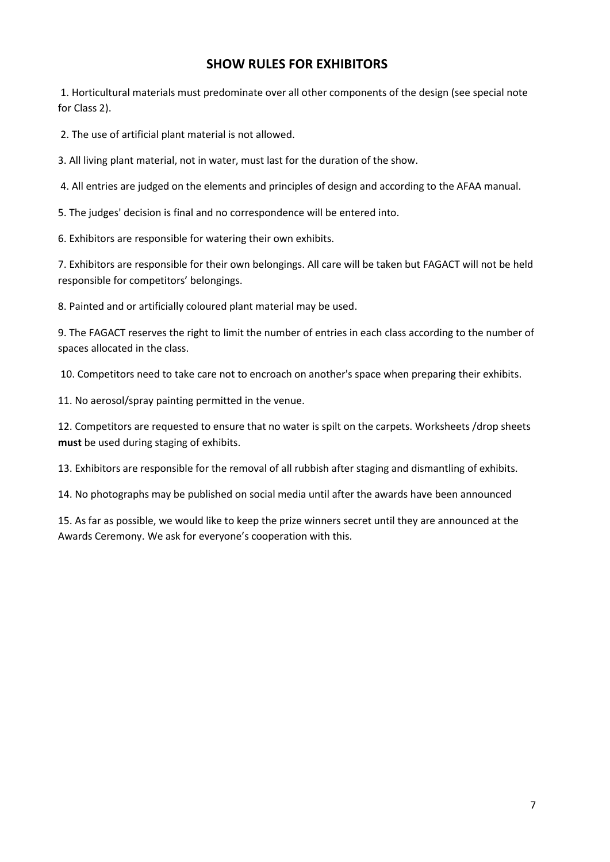# **SHOW RULES FOR EXHIBITORS**

1. Horticultural materials must predominate over all other components of the design (see special note for Class 2).

2. The use of artificial plant material is not allowed.

3. All living plant material, not in water, must last for the duration of the show.

4. All entries are judged on the elements and principles of design and according to the AFAA manual.

5. The judges' decision is final and no correspondence will be entered into.

6. Exhibitors are responsible for watering their own exhibits.

7. Exhibitors are responsible for their own belongings. All care will be taken but FAGACT will not be held responsible for competitors' belongings.

8. Painted and or artificially coloured plant material may be used.

9. The FAGACT reserves the right to limit the number of entries in each class according to the number of spaces allocated in the class.

10. Competitors need to take care not to encroach on another's space when preparing their exhibits.

11. No aerosol/spray painting permitted in the venue.

12. Competitors are requested to ensure that no water is spilt on the carpets. Worksheets /drop sheets **must** be used during staging of exhibits.

13. Exhibitors are responsible for the removal of all rubbish after staging and dismantling of exhibits.

14. No photographs may be published on social media until after the awards have been announced

15. As far as possible, we would like to keep the prize winners secret until they are announced at the Awards Ceremony. We ask for everyone's cooperation with this.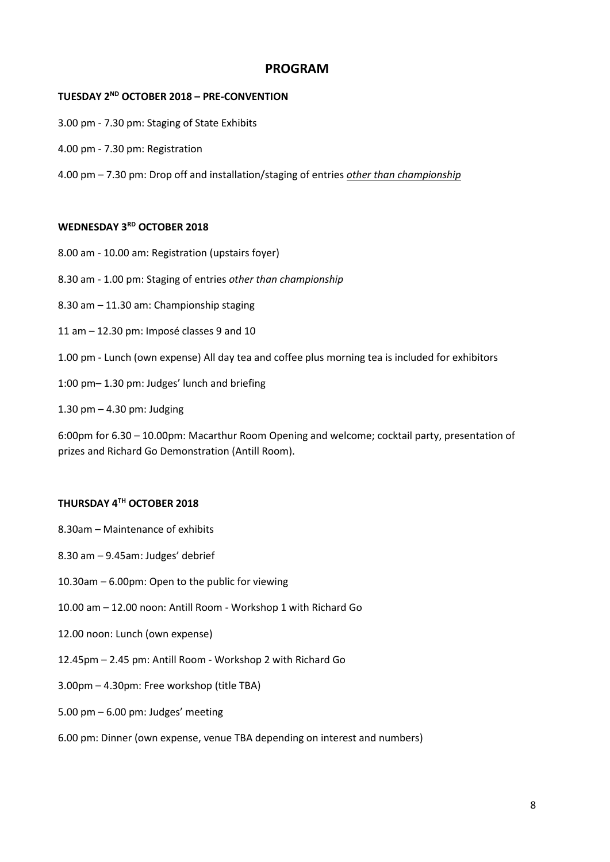### **PROGRAM**

#### **TUESDAY 2ND OCTOBER 2018 – PRE-CONVENTION**

- 3.00 pm 7.30 pm: Staging of State Exhibits
- 4.00 pm 7.30 pm: Registration
- 4.00 pm 7.30 pm: Drop off and installation/staging of entries *other than championship*

#### **WEDNESDAY 3RD OCTOBER 2018**

- 8.00 am 10.00 am: Registration (upstairs foyer)
- 8.30 am 1.00 pm: Staging of entries *other than championship*
- 8.30 am 11.30 am: Championship staging
- 11 am 12.30 pm: Imposé classes 9 and 10
- 1.00 pm Lunch (own expense) All day tea and coffee plus morning tea is included for exhibitors
- 1:00 pm– 1.30 pm: Judges' lunch and briefing
- 1.30 pm 4.30 pm: Judging

6:00pm for 6.30 – 10.00pm: Macarthur Room Opening and welcome; cocktail party, presentation of prizes and Richard Go Demonstration (Antill Room).

### **THURSDAY 4TH OCTOBER 2018**

- 8.30am Maintenance of exhibits
- 8.30 am 9.45am: Judges' debrief
- 10.30am 6.00pm: Open to the public for viewing
- 10.00 am 12.00 noon: Antill Room Workshop 1 with Richard Go
- 12.00 noon: Lunch (own expense)
- 12.45pm 2.45 pm: Antill Room Workshop 2 with Richard Go
- 3.00pm 4.30pm: Free workshop (title TBA)
- 5.00 pm 6.00 pm: Judges' meeting
- 6.00 pm: Dinner (own expense, venue TBA depending on interest and numbers)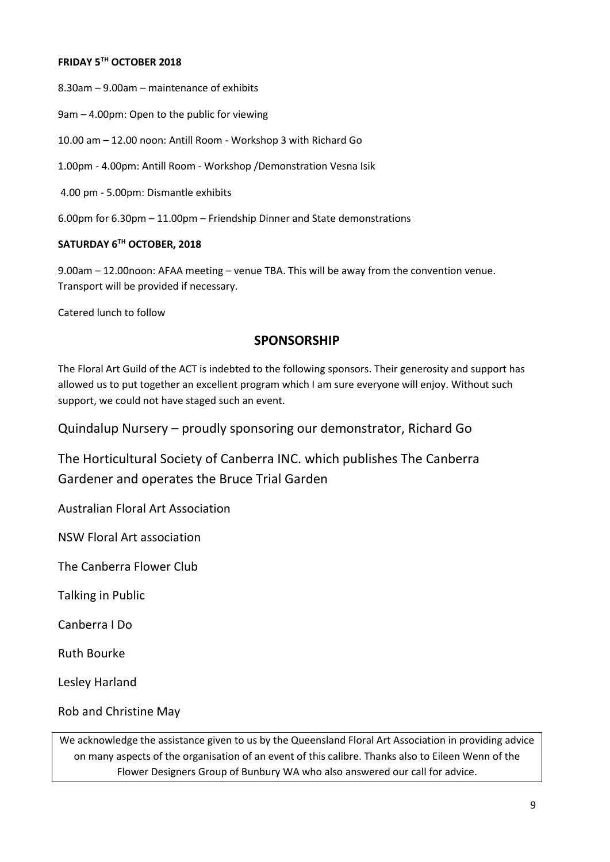#### **FRIDAY 5TH OCTOBER 2018**

8.30am – 9.00am – maintenance of exhibits

9am – 4.00pm: Open to the public for viewing

10.00 am – 12.00 noon: Antill Room - Workshop 3 with Richard Go

1.00pm - 4.00pm: Antill Room - Workshop /Demonstration Vesna Isik

4.00 pm - 5.00pm: Dismantle exhibits

6.00pm for 6.30pm – 11.00pm – Friendship Dinner and State demonstrations

#### **SATURDAY 6TH OCTOBER, 2018**

9.00am – 12.00noon: AFAA meeting – venue TBA. This will be away from the convention venue. Transport will be provided if necessary.

Catered lunch to follow

### **SPONSORSHIP**

The Floral Art Guild of the ACT is indebted to the following sponsors. Their generosity and support has allowed us to put together an excellent program which I am sure everyone will enjoy. Without such support, we could not have staged such an event.

Quindalup Nursery – proudly sponsoring our demonstrator, Richard Go

The Horticultural Society of Canberra INC. which publishes The Canberra Gardener and operates the Bruce Trial Garden

Australian Floral Art Association

NSW Floral Art association

The Canberra Flower Club

Talking in Public

Canberra I Do

Ruth Bourke

Lesley Harland

Rob and Christine May

We acknowledge the assistance given to us by the Queensland Floral Art Association in providing advice on many aspects of the organisation of an event of this calibre. Thanks also to Eileen Wenn of the Flower Designers Group of Bunbury WA who also answered our call for advice.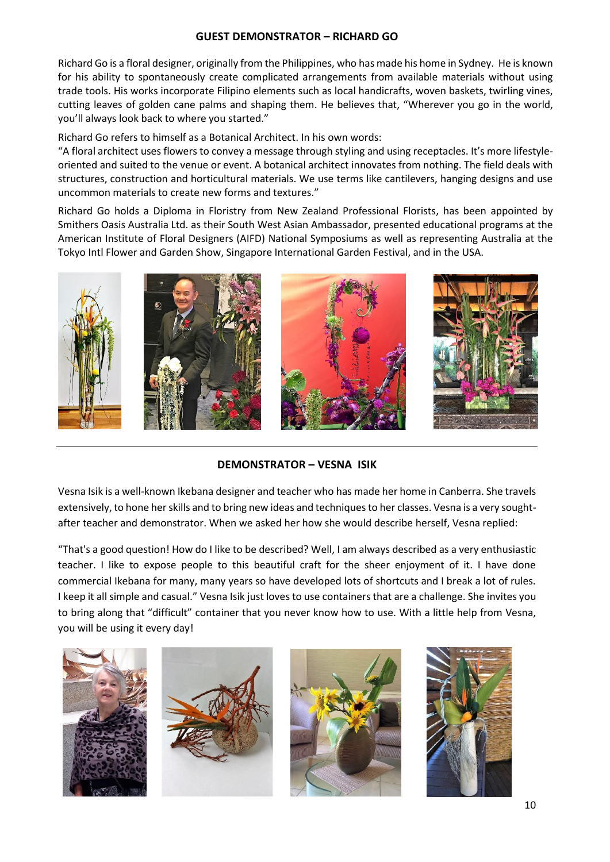#### **GUEST DEMONSTRATOR – RICHARD GO**

Richard Go is a floral designer, originally from the Philippines, who has made his home in Sydney. He is known for his ability to spontaneously create complicated arrangements from available materials without using trade tools. His works incorporate Filipino elements such as local handicrafts, woven baskets, twirling vines, cutting leaves of golden cane palms and shaping them. He believes that, "Wherever you go in the world, you'll always look back to where you started."

Richard Go refers to himself as a Botanical Architect. In his own words:

"A floral architect uses flowers to convey a message through styling and using receptacles. It's more lifestyleoriented and suited to the venue or event. A botanical architect innovates from nothing. The field deals with structures, construction and horticultural materials. We use terms like cantilevers, hanging designs and use uncommon materials to create new forms and textures."

Richard Go holds a Diploma in Floristry from New Zealand Professional Florists, has been appointed by Smithers Oasis Australia Ltd. as their South West Asian Ambassador, presented educational programs at the American Institute of Floral Designers (AIFD) National Symposiums as well as representing Australia at the Tokyo Intl Flower and Garden Show, Singapore International Garden Festival, and in the USA.



### **DEMONSTRATOR – VESNA ISIK**

Vesna Isik is a well-known Ikebana designer and teacher who has made her home in Canberra. She travels extensively, to hone her skills and to bring new ideas and techniques to her classes. Vesna is a very soughtafter teacher and demonstrator. When we asked her how she would describe herself, Vesna replied:

"That's a good question! How do I like to be described? Well, I am always described as a very enthusiastic teacher. I like to expose people to this beautiful craft for the sheer enjoyment of it. I have done commercial Ikebana for many, many years so have developed lots of shortcuts and I break a lot of rules. I keep it all simple and casual." Vesna Isik just loves to use containers that are a challenge. She invites you to bring along that "difficult" container that you never know how to use. With a little help from Vesna, you will be using it every day!







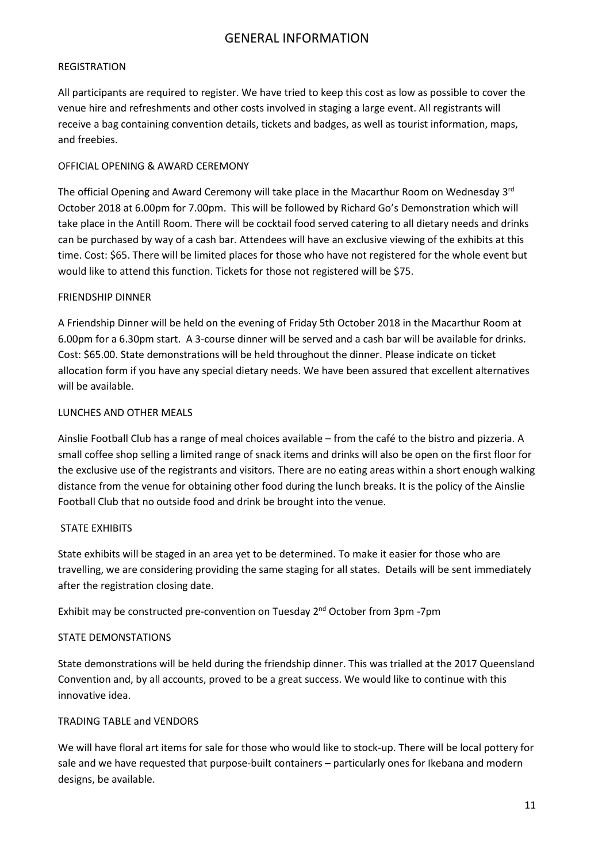## GENERAL INFORMATION

#### REGISTRATION

All participants are required to register. We have tried to keep this cost as low as possible to cover the venue hire and refreshments and other costs involved in staging a large event. All registrants will receive a bag containing convention details, tickets and badges, as well as tourist information, maps, and freebies.

#### OFFICIAL OPENING & AWARD CEREMONY

The official Opening and Award Ceremony will take place in the Macarthur Room on Wednesday 3<sup>rd</sup> October 2018 at 6.00pm for 7.00pm. This will be followed by Richard Go's Demonstration which will take place in the Antill Room. There will be cocktail food served catering to all dietary needs and drinks can be purchased by way of a cash bar. Attendees will have an exclusive viewing of the exhibits at this time. Cost: \$65. There will be limited places for those who have not registered for the whole event but would like to attend this function. Tickets for those not registered will be \$75.

#### FRIENDSHIP DINNER

A Friendship Dinner will be held on the evening of Friday 5th October 2018 in the Macarthur Room at 6.00pm for a 6.30pm start. A 3-course dinner will be served and a cash bar will be available for drinks. Cost: \$65.00. State demonstrations will be held throughout the dinner. Please indicate on ticket allocation form if you have any special dietary needs. We have been assured that excellent alternatives will be available.

#### LUNCHES AND OTHER MEALS

Ainslie Football Club has a range of meal choices available – from the café to the bistro and pizzeria. A small coffee shop selling a limited range of snack items and drinks will also be open on the first floor for the exclusive use of the registrants and visitors. There are no eating areas within a short enough walking distance from the venue for obtaining other food during the lunch breaks. It is the policy of the Ainslie Football Club that no outside food and drink be brought into the venue.

#### STATE EXHIBITS

State exhibits will be staged in an area yet to be determined. To make it easier for those who are travelling, we are considering providing the same staging for all states. Details will be sent immediately after the registration closing date.

Exhibit may be constructed pre-convention on Tuesday 2nd October from 3pm -7pm

#### STATE DEMONSTATIONS

State demonstrations will be held during the friendship dinner. This was trialled at the 2017 Queensland Convention and, by all accounts, proved to be a great success. We would like to continue with this innovative idea.

#### TRADING TABLE and VENDORS

We will have floral art items for sale for those who would like to stock-up. There will be local pottery for sale and we have requested that purpose-built containers – particularly ones for Ikebana and modern designs, be available.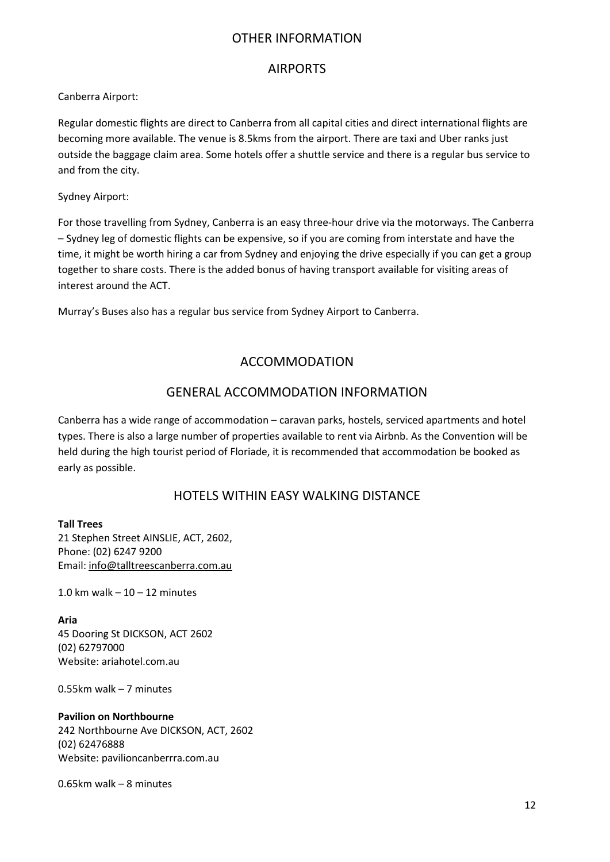## OTHER INFORMATION

### AIRPORTS

Canberra Airport:

Regular domestic flights are direct to Canberra from all capital cities and direct international flights are becoming more available. The venue is 8.5kms from the airport. There are taxi and Uber ranks just outside the baggage claim area. Some hotels offer a shuttle service and there is a regular bus service to and from the city.

#### Sydney Airport:

For those travelling from Sydney, Canberra is an easy three-hour drive via the motorways. The Canberra – Sydney leg of domestic flights can be expensive, so if you are coming from interstate and have the time, it might be worth hiring a car from Sydney and enjoying the drive especially if you can get a group together to share costs. There is the added bonus of having transport available for visiting areas of interest around the ACT.

Murray's Buses also has a regular bus service from Sydney Airport to Canberra.

# ACCOMMODATION

# GENERAL ACCOMMODATION INFORMATION

Canberra has a wide range of accommodation – caravan parks, hostels, serviced apartments and hotel types. There is also a large number of properties available to rent via Airbnb. As the Convention will be held during the high tourist period of Floriade, it is recommended that accommodation be booked as early as possible.

# HOTELS WITHIN EASY WALKING DISTANCE

**Tall Trees** 21 Stephen Street AINSLIE, ACT, 2602, Phone: (02) 6247 9200 Email: [info@talltreescanberra.com.au](mailto:info@talltreescanberra.com.au)

1.0 km walk  $-10-12$  minutes

**Aria** 45 Dooring St DICKSON, ACT 2602 (02) 62797000 Website: ariahotel.com.au

0.55km walk – 7 minutes

**Pavilion on Northbourne** 242 Northbourne Ave DICKSON, ACT, 2602 (02) 62476888 Website: pavilioncanberrra.com.au

0.65km walk – 8 minutes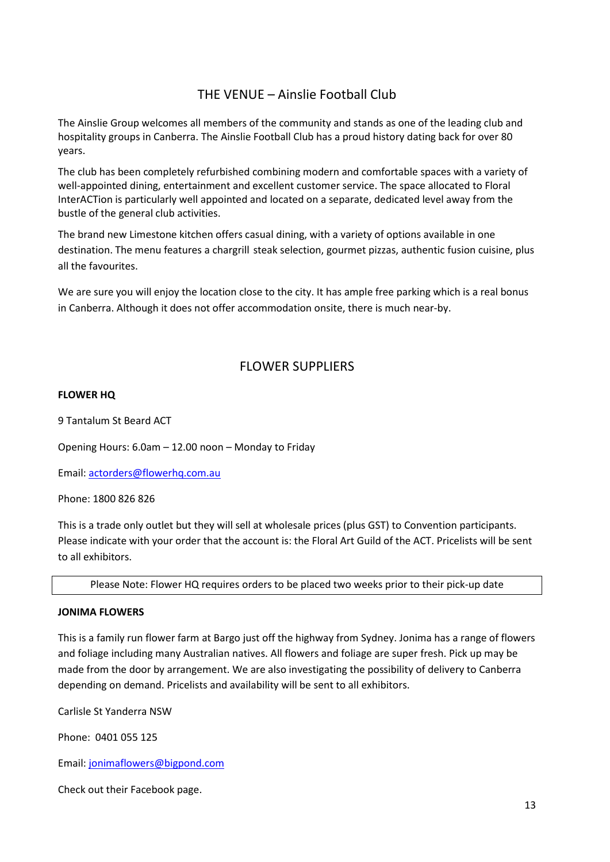# THE VENUE – Ainslie Football Club

The Ainslie Group welcomes all members of the community and stands as one of the leading club and hospitality groups in Canberra. The Ainslie Football Club has a proud history dating back for over 80 years.

The club has been completely refurbished combining modern and comfortable spaces with a variety of well-appointed dining, entertainment and excellent customer service. The space allocated to Floral InterACTion is particularly well appointed and located on a separate, dedicated level away from the bustle of the general club activities.

The brand new Limestone kitchen offers casual dining, with a variety of options available in one destination. The menu features a chargrill steak selection, gourmet pizzas, authentic fusion cuisine, plus all the favourites.

We are sure you will enjoy the location close to the city. It has ample free parking which is a real bonus in Canberra. Although it does not offer accommodation onsite, there is much near-by.

# FLOWER SUPPLIERS

#### **FLOWER HQ**

9 Tantalum St Beard ACT

Opening Hours: 6.0am – 12.00 noon – Monday to Friday

Email[: actorders@flowerhq.com.au](mailto:actorders@flowerhq.com.au)

Phone: 1800 826 826

This is a trade only outlet but they will sell at wholesale prices (plus GST) to Convention participants. Please indicate with your order that the account is: the Floral Art Guild of the ACT. Pricelists will be sent to all exhibitors.

Please Note: Flower HQ requires orders to be placed two weeks prior to their pick-up date

#### **JONIMA FLOWERS**

This is a family run flower farm at Bargo just off the highway from Sydney. Jonima has a range of flowers and foliage including many Australian natives. All flowers and foliage are super fresh. Pick up may be made from the door by arrangement. We are also investigating the possibility of delivery to Canberra depending on demand. Pricelists and availability will be sent to all exhibitors.

Carlisle St Yanderra NSW

Phone: 0401 055 125

Email[: jonimaflowers@bigpond.com](mailto:jonimaflowers@bigpond.com)

Check out their Facebook page.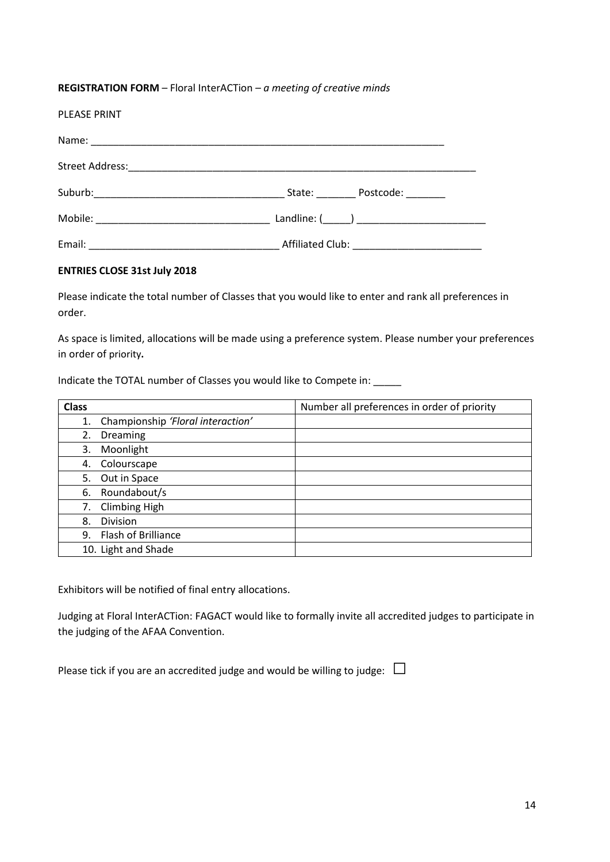#### **REGISTRATION FORM** – Floral InterACTion *– a meeting of creative minds*

| <b>PLEASE PRINT</b> |                  |
|---------------------|------------------|
|                     |                  |
|                     |                  |
|                     | State: Postcode: |
|                     |                  |
|                     |                  |

### **ENTRIES CLOSE 31st July 2018**

Please indicate the total number of Classes that you would like to enter and rank all preferences in order.

As space is limited, allocations will be made using a preference system. Please number your preferences in order of priority**.**

Indicate the TOTAL number of Classes you would like to Compete in: \_\_\_\_\_

| <b>Class</b> |                                   | Number all preferences in order of priority |
|--------------|-----------------------------------|---------------------------------------------|
| 1.           | Championship 'Floral interaction' |                                             |
| 2.           | Dreaming                          |                                             |
| 3.           | Moonlight                         |                                             |
| 4.           | Colourscape                       |                                             |
| 5.           | Out in Space                      |                                             |
| 6.           | Roundabout/s                      |                                             |
| 7.           | <b>Climbing High</b>              |                                             |
| 8.           | Division                          |                                             |
| 9.           | Flash of Brilliance               |                                             |
|              | 10. Light and Shade               |                                             |

Exhibitors will be notified of final entry allocations.

Judging at Floral InterACTion: FAGACT would like to formally invite all accredited judges to participate in the judging of the AFAA Convention.

Please tick if you are an accredited judge and would be willing to judge:  $\Box$